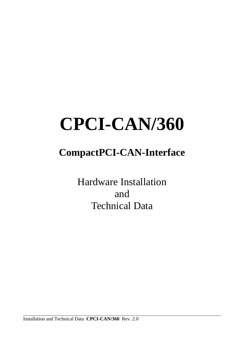# **CPCI-CAN/360**

# **CompactPCI-CAN-Interface**

Hardware Installation and Technical Data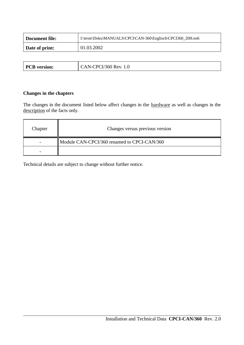| Document file: | I:\texte\Doku\MANUALS\CPCI\CAN-360\Englisch\CPCI360_20H.en6 |  |
|----------------|-------------------------------------------------------------|--|
| Date of print: | 01.03.2002                                                  |  |

| <b>PCB</b> version: | -CPCI/360 Rev.<br>'AN- $\prime$ |
|---------------------|---------------------------------|
|---------------------|---------------------------------|

### **Changes in the chapters**

The changes in the document listed below affect changes in the hardware as well as changes in the description of the facts only.

| Chapter                  | Changes versus previous version             |
|--------------------------|---------------------------------------------|
| $\overline{\phantom{0}}$ | Module CAN-CPCI/360 renamed to CPCI-CAN/360 |
| $\overline{\phantom{0}}$ |                                             |

Technical details are subject to change without further notice.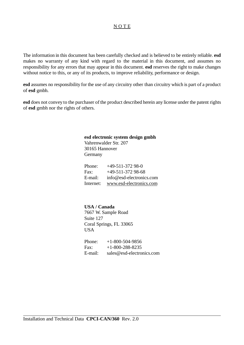#### N O T E

The information in this document has been carefully checked and is believed to be entirely reliable. **esd** makes no warranty of any kind with regard to the material in this document, and assumes no responsibility for any errors that may appear in this document. **esd** reserves the right to make changes without notice to this, or any of its products, to improve reliability, performance or design.

**esd** assumes no responsibility for the use of any circuitry other than circuitry which is part of a product of **esd** gmbh.

**esd** does not convey to the purchaser of the product described herein any license under the patent rights of **esd** gmbh nor the rights of others.

#### **esd electronic system design gmbh**

Vahrenwalder Str. 207 30165 Hannover **Germany** 

| Phone:    | $+49-511-37298-0$        |
|-----------|--------------------------|
| Fax:      | $+49-511-37298-68$       |
| E-mail:   | info@esd-electronics.com |
| Internet: | www.esd-electronics.com  |

**USA / Canada** 7667 W. Sample Road Suite 127 Coral Springs, FL 33065 USA

| Phone:  | $+1-800-504-9856$         |
|---------|---------------------------|
| Fax:    | $+1-800-288-8235$         |
| E-mail: | sales@esd-electronics.com |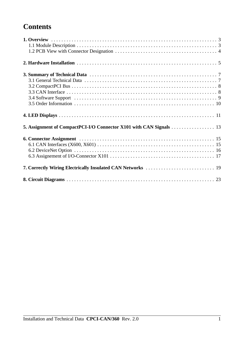# **Contents**

| 5. Assignment of CompactPCI-I/O Connector X101 with CAN Signals 13 |  |
|--------------------------------------------------------------------|--|
|                                                                    |  |
|                                                                    |  |
|                                                                    |  |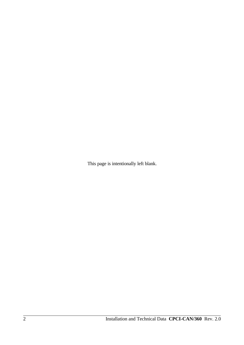This page is intentionally left blank.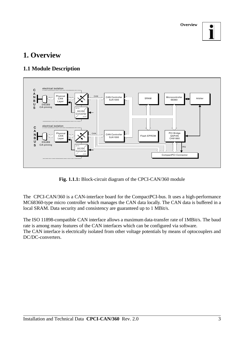

# **1. Overview**

### **1.1 Module Description**



**Fig. 1.1.1:** Block-circuit diagram of the CPCI-CAN/360 module

The CPCI-CAN/360 is a CAN-interface board for the CompactPCI-bus. It uses a high-performance MC68360-type micro controller which manages the CAN data locally. The CAN data is buffered in a local SRAM. Data security and consistency are guaranteed up to 1 MBit/s.

The ISO 11898-compatible CAN interface allows a maximum data-transfer rate of 1MBit/s. The baud rate is among many features of the CAN interfaces which can be configured via software. The CAN interface is electrically isolated from other voltage potentials by means of optocouplers and DC/DC-converters.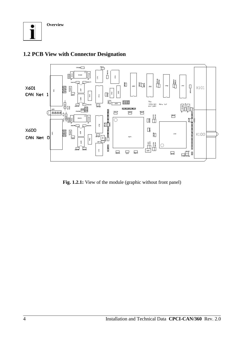

### **1.2 PCB View with Connector Designation**

Fig. 1.2.1: View of the module (graphic without front panel)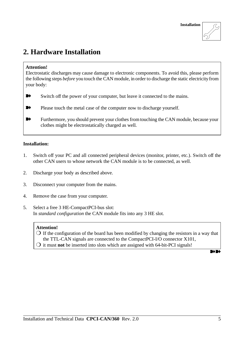

# **2. Hardware Installation**

### **Attention!**

Electrostatic discharges may cause damage to electronic components. To avoid this, please perform the following steps *before* you touch the CAN module, in order to discharge the static electricityfrom your body:

- @ Switch off the power of your computer, but leave it connected to the mains.
- **Please touch the metal case of the computer now to discharge yourself.**
- **EXECUTE:** Furthermore, you should prevent your clothes from touching the CAN module, because your clothes might be electrostatically charged as well.

### **Installation:**

- 1. Switch off your PC and all connected peripheral devices (monitor, printer, etc.). Switch off the other CAN users to whose network the CAN module is to be connected, as well.
- 2. Discharge your body as described above.
- 3. Disconnect your computer from the mains.
- 4. Remove the case from your computer.
- 5. Select a free 3 HE-CompactPCI-bus slot: In *standard configuration* the CAN module fits into any 3 HE slot.

### **Attention!**

- $\overline{O}$  If the configuration of the board has been modified by changing the resistors in a way that the TTL-CAN signals are connected to the CompactPCI-I/O connector X101,
- $\overline{O}$  it must **not** be inserted into slots which are assigned with 64-bit-PCI signals!

 $\mathbf{D}$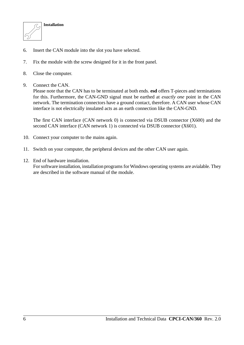

- 6. Insert the CAN module into the slot you have selected.
- 7. Fix the module with the screw designed for it in the front panel.
- 8. Close the computer.
- 9. Connect the CAN.

Please note that the CAN has to be terminated at both ends. **esd** offers T-pieces and terminations for this. Furthermore, the CAN-GND signal must be earthed at *exactly one* point in the CAN network. The termination connectors have a ground contact, therefore. A CAN user whose CAN interface is not electrically insulated acts as an earth connection like the CAN-GND.

The first CAN interface (CAN network 0) is connected via DSUB connector (X600) and the second CAN interface (CAN network 1) is connected via DSUB connector (X601).

- 10. Connect your computer to the mains again.
- 11. Switch on your computer, the peripheral devices and the other CAN user again.
- 12. End of hardware installation.

For software installation, installation programs for Windows operating systems are avialable. They are described in the software manual of the module.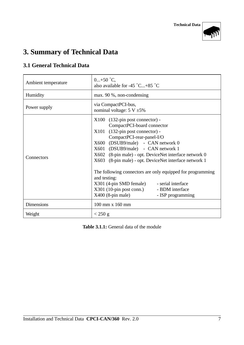

# **3. Summary of Technical Data**

### **3.1 General Technical Data**

| Ambient temperature | $0+50$ °C,<br>also available for -45 $°C+85$ $°C$                                                                                                                                                                                                                                                                                                                                                                                                                                                                                                   |  |  |
|---------------------|-----------------------------------------------------------------------------------------------------------------------------------------------------------------------------------------------------------------------------------------------------------------------------------------------------------------------------------------------------------------------------------------------------------------------------------------------------------------------------------------------------------------------------------------------------|--|--|
| Humidity            | max. 90 %, non-condensing                                                                                                                                                                                                                                                                                                                                                                                                                                                                                                                           |  |  |
| Power supply        | via CompactPCI-bus,<br>nominal voltage: $5 \text{ V } \pm 5\%$                                                                                                                                                                                                                                                                                                                                                                                                                                                                                      |  |  |
| Connectors          | $X100$ (132-pin post connector) -<br>CompactPCI-board connector<br>$X101$ (132-pin post connector) -<br>CompactPCI-rear-panel-I/O<br>X600 (DSUB9/male) - CAN network 0<br>X601 (DSUB9/male) - CAN network 1<br>X602 (8-pin male) - opt. DeviceNet interface network 0<br>X603 (8-pin male) - opt. DeviceNet interface network 1<br>The following connectors are only equipped for programming<br>and testing:<br>X301 (4-pin SMD female) - serial interface<br>X301 (10-pin post conn.) - BDM interface<br>$X400$ (8-pin male)<br>- ISP programming |  |  |
| <b>Dimensions</b>   | 100 mm x 160 mm                                                                                                                                                                                                                                                                                                                                                                                                                                                                                                                                     |  |  |
| Weight              | $<$ 250 g                                                                                                                                                                                                                                                                                                                                                                                                                                                                                                                                           |  |  |

**Table 3.1.1:** General data of the module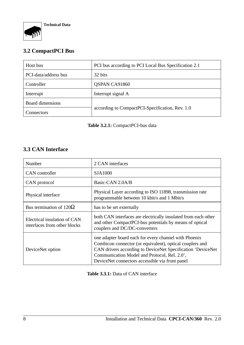

# **3.2 CompactPCI Bus**

| Host bus             | PCI bus according to PCI Local Bus Specification 2.1 |  |
|----------------------|------------------------------------------------------|--|
| PCI-data/address bus | 32 bits                                              |  |
| Controller           | QSPAN CA91860                                        |  |
| Interrupt            | Interrupt signal A                                   |  |
| Board dimensions     | according to CompactPCI-Specification, Rev. 1.0      |  |
| Connectors           |                                                      |  |

### **Table 3.2.1:** CompactPCI-bus data

# **3.3 CAN Interface**

| Number                                                       | 2 CAN interfaces                                                                                                                                                                                                                                                                    |  |
|--------------------------------------------------------------|-------------------------------------------------------------------------------------------------------------------------------------------------------------------------------------------------------------------------------------------------------------------------------------|--|
| <b>CAN</b> controller                                        | SJA1000                                                                                                                                                                                                                                                                             |  |
| CAN protocol                                                 | Basic-CAN 2.0A/B                                                                                                                                                                                                                                                                    |  |
| Physical interface                                           | Physical Layer according to ISO 11898, transmission rate<br>programmable between 10 kbit/s and 1 Mbit/s                                                                                                                                                                             |  |
| Bus termination of 120 $\Omega$                              | has to be set externally                                                                                                                                                                                                                                                            |  |
| Electrical insulation of CAN<br>interfaces from other blocks | both CAN interfaces are electrically insulated from each other<br>and other CompactPCI-bus potentials by means of optical<br>couplers and DC/DC-converters                                                                                                                          |  |
| DeviceNet option                                             | one adapter board each for every channel with Phoenix<br>Combicon connector (or equivalent), optical couplers and<br>CAN drivers according to DeviceNet Specification 'DeviceNet<br>Communication Model and Protocol, Rel. 2.0',<br>DeviceNet connectors accessible via front panel |  |

**Table 3.3.1:** Data of CAN interface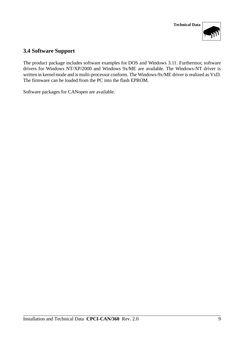

### **3.4 Software Support**

The product package includes software examples for DOS and Windows 3.11. Furthermor, software drivers for Windows NT/XP/2000 and Windows 9x/ME are available. The Windows-NT driver is written in kernel mode and is multi-processor conform. The Windows-9x/ME driver is realized as VxD. The firmware can be loaded from the PC into the flash EPROM.

Software packages for CANopen are available.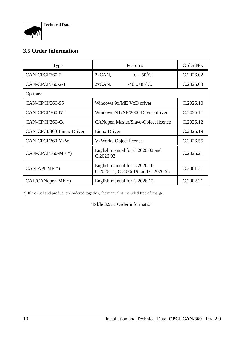

### **3.5 Order Information**

| <b>Type</b>               | Features                                                            | Order No. |
|---------------------------|---------------------------------------------------------------------|-----------|
| CAN-CPCI/360-2            | $0+50^{\circ}C,$<br>2xCAN,                                          | C.2026.02 |
| CAN-CPCI/360-2-T          | $-40+85^{\circ}C$ ,<br>2xCAN,                                       | C.2026.03 |
| Options:                  |                                                                     |           |
| CAN-CPCI/360-95           | Windows 9x/ME VxD driver                                            | C.2026.10 |
| CAN-CPCI/360-NT           | Windows NT/XP/2000 Device driver                                    | C.2026.11 |
| CAN-CPCI/360-Co           | CANopen Master/Slave-Object licence                                 | C.2026.12 |
| CAN-CPCI/360-Linux-Driver | Linux-Driver                                                        | C.2026.19 |
| CAN-CPCI/360-VxW          | VxWorks-Object licence                                              | C.2026.55 |
| CAN-CPCI/360-ME $*$ )     | English manual for C.2026.02 and<br>C.2026.03                       | C.2026.21 |
| $CAN-API-ME^*)$           | English manual for C.2026.10,<br>C.2026.11, C.2026.19 and C.2026.55 | C.2001.21 |
| $CAL/CANopen-ME*)$        | English manual for C.2026.12                                        | C.2002.21 |

\*) If manual and product are ordered together, the manual is included free of charge.

**Table 3.5.1:** Order information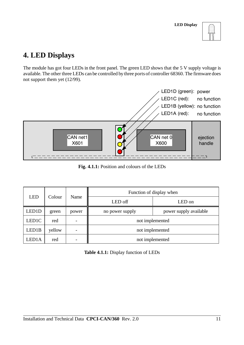| I<br>l                  |  |
|-------------------------|--|
| ı<br>Ξ<br>Ĩ.<br>22<br>Ξ |  |
|                         |  |
|                         |  |

# **4. LED Displays**

The module has got four LEDs in the front panel. The green LED shows that the 5 V supply voltage is available. The other three LEDs can be controlled by three ports of controller 68360. The firmware does not support them yet (12/99).



**Fig. 4.1.1:** Position and colours of the LEDs

|                      |         | Name                     | Function of display when |                        |
|----------------------|---------|--------------------------|--------------------------|------------------------|
| <b>LED</b><br>Colour | LED off |                          | LED on                   |                        |
| LED1D                | green   | power                    | no power supply          | power supply available |
| LED1C                | red     | $\overline{\phantom{a}}$ | not implemented          |                        |
| LED1B                | yellow  | $\overline{\phantom{a}}$ | not implemented          |                        |
| LED1A                | red     | -                        | not implemented          |                        |

**Table 4.1.1:** Display function of LEDs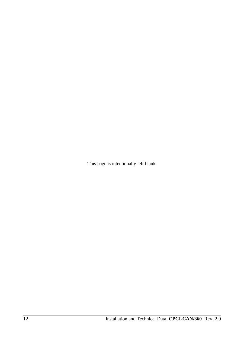This page is intentionally left blank.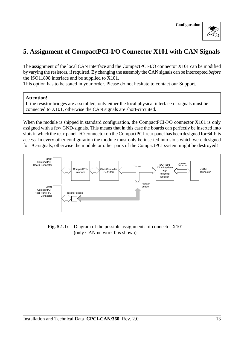

# **5. Assignment of CompactPCI-I/O Connector X101 with CAN Signals**

The assignment of the local CAN interface and the CompactPCI-I/O connector X101 can be modified byvarying the resistors, ifrequired. By changing the assembly the CAN signals can be intercepted *before* the ISO11898 interface and be supplied to X101.

This option has to be stated in your order. Please do not hesitate to contact our Support.

#### **Attention!**

If the resistor bridges are assembled, only either the local physical interface or signals must be connected to X101, otherwise the CAN signals are short-circuited.

When the module is shipped in standard configuration, the CompactPCI-I/O connector X101 is only assigned with a few GND-signals. This means that in this case the boards can perfectly be inserted into slotsin which the rear-panel-I/O connector on the CompactPCI-rear panel has been designed for 64-bits access. In every other configuration the module must only be inserted into slots which were designed for I/O-signals, otherwise the module or other parts of the CompactPCI system might be destroyed!



**Fig. 5.1.1:** Diagram of the possible assignments of connector X101 (only CAN network 0 is shown)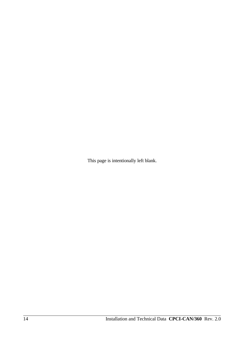This page is intentionally left blank.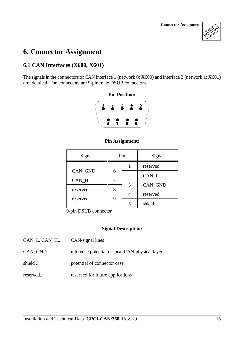

# **6. Connector Assignment**

### **6.1 CAN Interfaces (X600, X601)**

The signals in the connectors of CAN interface 1 (network 0: X600) and interface 2 (network 1: X601) are identical. The connectors are 9-pin male DSUB connectors.



#### **Pin Assignment:**

| Signal   | Pin |                | Signal   |  |
|----------|-----|----------------|----------|--|
|          |     |                | reserved |  |
| CAN_GND  | 6   | $\overline{2}$ | CAN L    |  |
| CAN_H    |     |                |          |  |
| reserved | 8   | 3              | CAN_GND  |  |
|          | 9   |                | reserved |  |
| reserved |     |                | shield   |  |

9-pin DSUB connector

#### **Signal Description:**

- CAN<sub>L</sub>, CAN<sub>H...</sub> CAN-signal lines
- CAN\_GND ... reference potential of local CAN-physical layer
- shield ... potential of connector case
- reserved... reserved for future applications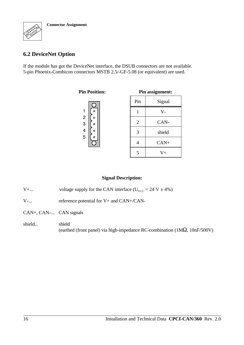

### **6.2 DeviceNet Option**

If the module has got the DeviceNet interface, the DSUB connectors are not available. 5-pin Phoenix-Combicon connectors MSTB 2.5/-GF-5.08 (or equivalent) are used.

**Pin Position: Pin assignment:**

| 1      | o |  |
|--------|---|--|
| 2<br>3 | o |  |
|        | o |  |
| 4      | o |  |
| 5      | o |  |
|        |   |  |

| 1 ш аээгдишсиг. |         |  |  |
|-----------------|---------|--|--|
| Pin             | Signal  |  |  |
| 1               | $V -$   |  |  |
| $\overline{2}$  | CAN-    |  |  |
| 3               | shield  |  |  |
| 4               | $CAN+$  |  |  |
|                 | $V_{+}$ |  |  |

### **Signal Description:**

| $V_{+}$        | voltage supply for the CAN interface ( $U_{VCC}$ = 24 V $\pm$ 4%) |
|----------------|-------------------------------------------------------------------|
| $V_{\text{-}}$ | reference potential for $V$ + and $CAN$ +/ $CAN$ -                |

CAN+, CAN-... CAN signals

shield... shield (earthed (front panel) via high-impedance RC-combination ( $1M\Omega$ ,  $10nF/500V$ )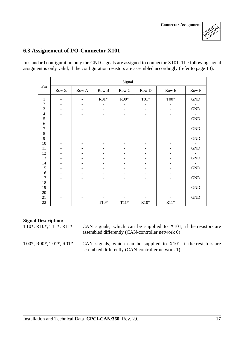

### **6.3 Assignement of I/O-Connector X101**

In standard configuration only the GND-signals are assigned to connector X101. The following signal assigment is only valid, if the configuration resistors are assembled accordingly (refer to page 13).

|                |                           | Signal |        |                  |                         |                  |                      |
|----------------|---------------------------|--------|--------|------------------|-------------------------|------------------|----------------------|
| Pin            | $\mbox{Row}\, \mathbf{Z}$ | Row A  | Row B  | $\mbox{Row}\, C$ | $\mbox{Row}\, \mbox{D}$ | $\mbox{Row\,} E$ | Row F                |
| 1              |                           |        | $R01*$ | $R00*$           | $T01*$                  | $\rm T00^*$      | $\operatorname{GND}$ |
| $\overline{c}$ |                           |        |        |                  |                         |                  |                      |
| 3              |                           |        |        |                  |                         |                  | $\operatorname{GND}$ |
| $\overline{4}$ |                           |        |        |                  |                         |                  |                      |
| 5              |                           |        |        |                  |                         |                  | $\operatorname{GND}$ |
| 6              |                           |        |        |                  |                         |                  |                      |
| 7              |                           |        |        |                  |                         |                  | $\operatorname{GND}$ |
| 8              |                           |        |        |                  |                         |                  |                      |
| 9              |                           |        |        |                  |                         |                  | <b>GND</b>           |
| 10             |                           |        |        |                  |                         |                  |                      |
| 11             |                           |        |        |                  |                         |                  | <b>GND</b>           |
| 12             |                           |        |        |                  |                         |                  |                      |
| 13             |                           |        |        |                  |                         |                  | $\operatorname{GND}$ |
| 14             |                           |        |        |                  |                         |                  |                      |
| 15             |                           |        |        |                  |                         |                  | <b>GND</b>           |
| 16             |                           |        |        |                  |                         |                  |                      |
| 17             |                           |        |        |                  |                         |                  | <b>GND</b>           |
| 18             |                           |        |        |                  |                         |                  |                      |
| 19             |                           |        |        |                  |                         |                  | <b>GND</b>           |
| $20\,$         |                           |        |        |                  |                         |                  |                      |
| 21             |                           |        |        |                  |                         |                  | <b>GND</b>           |
| 22             |                           |        | $T10*$ | $T11*$           | $R10*$                  | $R11*$           |                      |

### **Signal Description:**

T10\*, R10\*, T11\*, R11\* CAN signals, which can be supplied to X101, if the resistors are assembled differently (CAN-controller network 0)

T00\*, R00\*, T01\*, R01\* CAN signals, which can be supplied to X101, if the resistors are assembled differently (CAN-controller network 1)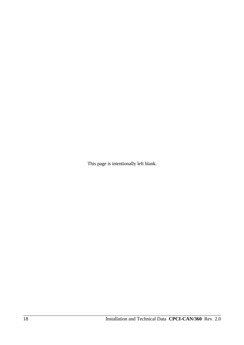This page is intentionally left blank.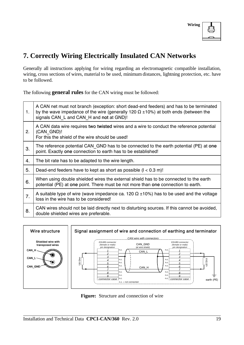

# **7. Correctly Wiring Electrically Insulated CAN Networks**

Generally all instructions applying for wiring regarding an electromagnetic compatible installation, wiring, cross sections of wires, material to be used, minimum distances, lightning protection, etc. have to be followed.

The following **general rules** for the CAN wiring must be followed:

| 1. | A CAN net must not branch (exception: short dead-end feeders) and has to be terminated<br>by the wave impedance of the wire (generally 120 $\Omega$ ±10%) at both ends (between the<br>signals CAN L and CAN H and not at GND)! |  |  |
|----|---------------------------------------------------------------------------------------------------------------------------------------------------------------------------------------------------------------------------------|--|--|
| 2. | A CAN data wire requires two twisted wires and a wire to conduct the reference potential<br>(CAN GND)!<br>For this the shield of the wire should be used!                                                                       |  |  |
| 3. | The reference potential CAN GND has to be connected to the earth potential (PE) at one<br>point. Exactly one connection to earth has to be established!                                                                         |  |  |
| 4. | The bit rate has to be adapted to the wire length.                                                                                                                                                                              |  |  |
| 5. | Dead-end feeders have to kept as short as possible $(l < 0.3$ m)!                                                                                                                                                               |  |  |
| 6. | When using double shielded wires the external shield has to be connected to the earth<br>potential (PE) at one point. There must be not more than one connection to earth.                                                      |  |  |
| 7. | A suitable type of wire (wave impedance ca. 120 $\Omega$ ±10%) has to be used and the voltage<br>loss in the wire has to be considered!                                                                                         |  |  |
| 8. | CAN wires should not be laid directly next to disturbing sources. If this cannot be avoided,<br>double shielded wires are preferable.                                                                                           |  |  |



**Figure:** Structure and connection of wire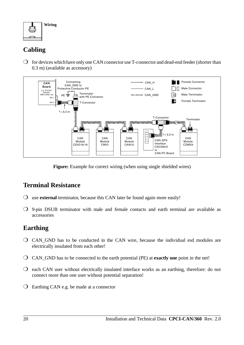

# **Cabling**

 $\overline{O}$  for devices which have only one CAN connector use T-connector and dead-end feeder (shorter than 0.3 m) (available as accessory)



**Figure:** Example for correct wiring (when using single shielded wires)

# **Terminal Resistance**

- $\bigcirc$  use **external** terminator, because this CAN later be found again more easily!
- $\bigcirc$  9-pin DSUB terminator with male and female contacts and earth terminal are available as accessories

# **Earthing**

- $\overline{O}$  CAN GND has to be conducted in the CAN wire, because the individual esd modules are electrically insulated from each other!
- è CAN\_GND has to be connected to the earth potential (PE) at **exactly one** point in the net!
- $\overline{O}$  each CAN user without electrically insulated interface works as an earthing, therefore: do not connect more than one user without potential separation!
- $\overline{O}$  Earthing CAN e.g. be made at a connector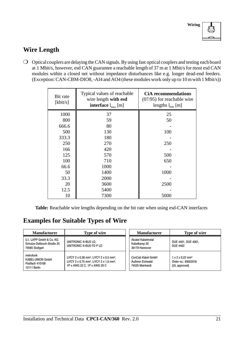# **Wire Length**

 $\bigcirc$  Optical couplers are delaying the CAN signals. By using fast optical couplers and testing each board at 1 Mbit/s, however, esd CAN guarantee a reachable length of 37 m at 1 Mbit/s for most esd CAN modules within a closed net without impedance disturbances like e.g. longer dead-end feeders. (Exception: CAN-CBM-DIO8,-AI4 and AO4 (these modules work only up to 10 mwith1 Mbit/s))

| Bit rate<br>[kbit/s] | Typical values of reachable<br>wire length with esd<br>interface $l_{\text{max}}$ [m] | <b>CiA</b> recommendations<br>$(07/95)$ for reachable wire<br>lengths $l_{\min}$ [m] |
|----------------------|---------------------------------------------------------------------------------------|--------------------------------------------------------------------------------------|
| 1000                 | 37                                                                                    | 25                                                                                   |
| 800                  | 59                                                                                    | 50                                                                                   |
| 666.6                | 80                                                                                    |                                                                                      |
| 500                  | 130                                                                                   | 100                                                                                  |
| 333.3                | 180                                                                                   |                                                                                      |
| 250                  | 270                                                                                   | 250                                                                                  |
| 166                  | 420                                                                                   |                                                                                      |
| 125                  | 570                                                                                   | 500                                                                                  |
| 100                  | 710                                                                                   | 650                                                                                  |
| 66.6                 | 1000                                                                                  |                                                                                      |
| 50                   | 1400                                                                                  | 1000                                                                                 |
| 33.3                 | 2000                                                                                  |                                                                                      |
| 20                   | 3600                                                                                  | 2500                                                                                 |
| 12.5                 | 5400                                                                                  |                                                                                      |
| 10                   | 7300                                                                                  | 5000                                                                                 |

**Table:** Reachable wire lengths depending on the bit rate when using esd-CAN interfaces

# **Examples for Suitable Types of Wire**

| <b>Manufacturer</b>                                                       | Type of wire                                                                                                                                                         | <b>Manufacturer</b>                                      | Type of wire                                                                     |
|---------------------------------------------------------------------------|----------------------------------------------------------------------------------------------------------------------------------------------------------------------|----------------------------------------------------------|----------------------------------------------------------------------------------|
| U.I. LAPP GmbH & Co. KG<br>Schulze-Delitzsch-Straße 25<br>70565 Stuttgart | UNITRONIC ®-BUS LD.<br>UNITRONIC ®-BUS FD P LD                                                                                                                       | Alcatel Kabelmetal<br>Kabelkamp 20<br>30179 Hannover     | DUE 4401, DUE 4001,<br><b>DUE 4402</b>                                           |
| metrofunk<br><b>KABEL-UNION GmbH</b><br>Postfach 410109<br>12111 Berlin   | LiYCY 2 x 0,38 mm <sup>2</sup> , LiYCY 2 x 0,5 mm <sup>2</sup> ,<br>LiYCY 2 x 0.75 mm <sup>2</sup> . LiYCY 2 x 1.0 mm <sup>2</sup> .<br>1P x AWG 22 C, 1P x AWG 20 C | ConCab Kabel GmbH<br>Außerer Eichwald<br>74535 Mainhardt | $1 \times 2 \times 0.22$ mm <sup>2</sup><br>Order no.: 93022016<br>(UL approved) |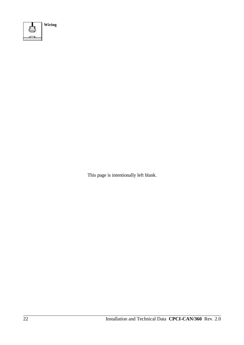

This page is intentionally left blank.